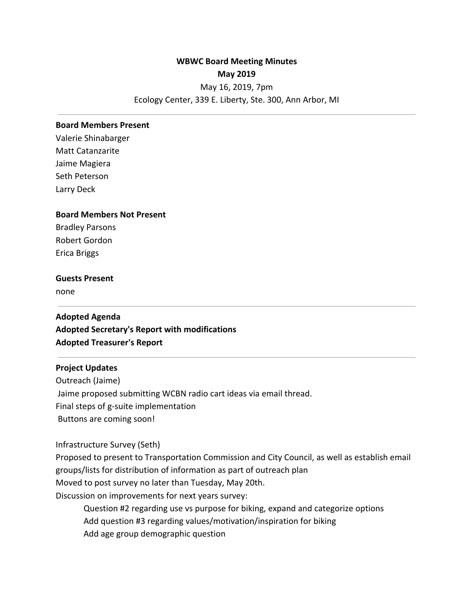# **WBWC Board Meeting Minutes May 2019** May 16, 2019, 7pm Ecology Center, 339 E. Liberty, Ste. 300, Ann Arbor, MI

#### **Board Members Present**

Valerie Shinabarger Matt Catanzarite Jaime Magiera Seth Peterson Larry Deck

#### **Board Members Not Present**

Bradley Parsons Robert Gordon Erica Briggs

# **Guests Present**

none

**Adopted Agenda Adopted Secretary's Report with modifications Adopted Treasurer's Report**

#### **Project Updates**

Outreach (Jaime) Jaime proposed submitting WCBN radio cart ideas via email thread. Final steps of g-suite implementation Buttons are coming soon!

Infrastructure Survey (Seth)

Proposed to present to Transportation Commission and City Council, as well as establish email groups/lists for distribution of information as part of outreach plan Moved to post survey no later than Tuesday, May 20th.

Discussion on improvements for next years survey:

Question #2 regarding use vs purpose for biking, expand and categorize options Add question #3 regarding values/motivation/inspiration for biking Add age group demographic question